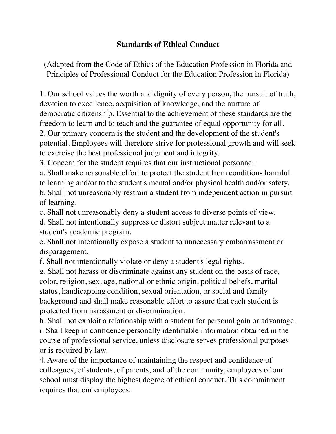## **Standards of Ethical Conduct**

(Adapted from the Code of Ethics of the Education Profession in Florida and Principles of Professional Conduct for the Education Profession in Florida)

1. Our school values the worth and dignity of every person, the pursuit of truth, devotion to excellence, acquisition of knowledge, and the nurture of democratic citizenship. Essential to the achievement of these standards are the freedom to learn and to teach and the guarantee of equal opportunity for all. 2. Our primary concern is the student and the development of the student's potential. Employees will therefore strive for professional growth and will seek to exercise the best professional judgment and integrity.

3. Concern for the student requires that our instructional personnel:

a. Shall make reasonable effort to protect the student from conditions harmful to learning and/or to the student's mental and/or physical health and/or safety. b. Shall not unreasonably restrain a student from independent action in pursuit

of learning.

c. Shall not unreasonably deny a student access to diverse points of view.

d. Shall not intentionally suppress or distort subject matter relevant to a student's academic program.

e. Shall not intentionally expose a student to unnecessary embarrassment or disparagement.

f. Shall not intentionally violate or deny a student's legal rights.

g. Shall not harass or discriminate against any student on the basis of race, color, religion, sex, age, national or ethnic origin, political beliefs, marital status, handicapping condition, sexual orientation, or social and family background and shall make reasonable effort to assure that each student is protected from harassment or discrimination.

h. Shall not exploit a relationship with a student for personal gain or advantage. i. Shall keep in confidence personally identifiable information obtained in the course of professional service, unless disclosure serves professional purposes or is required by law.

4. Aware of the importance of maintaining the respect and confidence of colleagues, of students, of parents, and of the community, employees of our school must display the highest degree of ethical conduct. This commitment requires that our employees: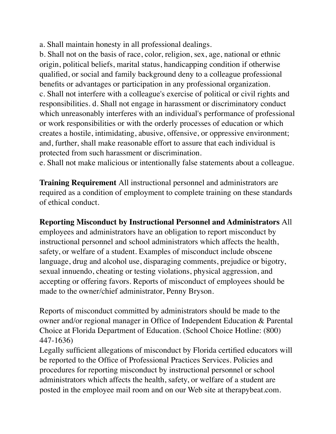a. Shall maintain honesty in all professional dealings.

b. Shall not on the basis of race, color, religion, sex, age, national or ethnic origin, political beliefs, marital status, handicapping condition if otherwise qualified, or social and family background deny to a colleague professional benefits or advantages or participation in any professional organization. c. Shall not interfere with a colleague's exercise of political or civil rights and responsibilities. d. Shall not engage in harassment or discriminatory conduct which unreasonably interferes with an individual's performance of professional or work responsibilities or with the orderly processes of education or which creates a hostile, intimidating, abusive, offensive, or oppressive environment; and, further, shall make reasonable effort to assure that each individual is protected from such harassment or discrimination.

e. Shall not make malicious or intentionally false statements about a colleague.

**Training Requirement** All instructional personnel and administrators are required as a condition of employment to complete training on these standards of ethical conduct.

**Reporting Misconduct by Instructional Personnel and Administrators** All employees and administrators have an obligation to report misconduct by instructional personnel and school administrators which affects the health, safety, or welfare of a student. Examples of misconduct include obscene language, drug and alcohol use, disparaging comments, prejudice or bigotry, sexual innuendo, cheating or testing violations, physical aggression, and accepting or offering favors. Reports of misconduct of employees should be made to the owner/chief administrator, Penny Bryson.

Reports of misconduct committed by administrators should be made to the owner and/or regional manager in Office of Independent Education & Parental Choice at Florida Department of Education. (School Choice Hotline: (800) 447-1636)

Legally sufficient allegations of misconduct by Florida certified educators will be reported to the Office of Professional Practices Services. Policies and procedures for reporting misconduct by instructional personnel or school administrators which affects the health, safety, or welfare of a student are posted in the employee mail room and on our Web site at therapybeat.com.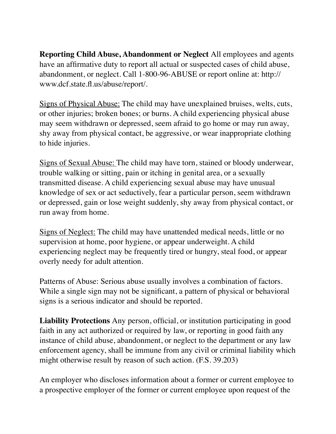**Reporting Child Abuse, Abandonment or Neglect** All employees and agents have an affirmative duty to report all actual or suspected cases of child abuse, abandonment, or neglect. Call 1-800-96-ABUSE or report online at: http:// www.dcf.state.fl.us/abuse/report/.

Signs of Physical Abuse: The child may have unexplained bruises, welts, cuts, or other injuries; broken bones; or burns. A child experiencing physical abuse may seem withdrawn or depressed, seem afraid to go home or may run away, shy away from physical contact, be aggressive, or wear inappropriate clothing to hide injuries.

Signs of Sexual Abuse: The child may have torn, stained or bloody underwear, trouble walking or sitting, pain or itching in genital area, or a sexually transmitted disease. A child experiencing sexual abuse may have unusual knowledge of sex or act seductively, fear a particular person, seem withdrawn or depressed, gain or lose weight suddenly, shy away from physical contact, or run away from home.

Signs of Neglect: The child may have unattended medical needs, little or no supervision at home, poor hygiene, or appear underweight. A child experiencing neglect may be frequently tired or hungry, steal food, or appear overly needy for adult attention.

Patterns of Abuse: Serious abuse usually involves a combination of factors. While a single sign may not be significant, a pattern of physical or behavioral signs is a serious indicator and should be reported.

**Liability Protections** Any person, official, or institution participating in good faith in any act authorized or required by law, or reporting in good faith any instance of child abuse, abandonment, or neglect to the department or any law enforcement agency, shall be immune from any civil or criminal liability which might otherwise result by reason of such action. (F.S. 39.203)

An employer who discloses information about a former or current employee to a prospective employer of the former or current employee upon request of the